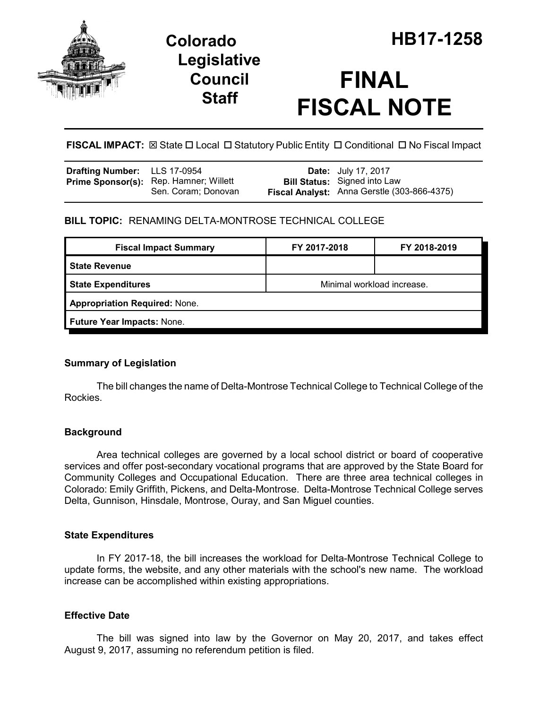

## **Legislative Council Staff**

# **FINAL FISCAL NOTE**

**FISCAL IMPACT:** ⊠ State □ Local □ Statutory Public Entity □ Conditional □ No Fiscal Impact

| Drafting Number: LLS 17-0954 |                                                                      | <b>Date:</b> July 17, 2017                                                         |
|------------------------------|----------------------------------------------------------------------|------------------------------------------------------------------------------------|
|                              | <b>Prime Sponsor(s):</b> Rep. Hamner; Willett<br>Sen. Coram; Donovan | <b>Bill Status:</b> Signed into Law<br>Fiscal Analyst: Anna Gerstle (303-866-4375) |

### **BILL TOPIC:** RENAMING DELTA-MONTROSE TECHNICAL COLLEGE

| <b>Fiscal Impact Summary</b>         | FY 2017-2018               | FY 2018-2019 |  |  |  |
|--------------------------------------|----------------------------|--------------|--|--|--|
| <b>State Revenue</b>                 |                            |              |  |  |  |
| <b>State Expenditures</b>            | Minimal workload increase. |              |  |  |  |
| <b>Appropriation Required: None.</b> |                            |              |  |  |  |
| Future Year Impacts: None.           |                            |              |  |  |  |

#### **Summary of Legislation**

The bill changes the name of Delta-Montrose Technical College to Technical College of the Rockies.

#### **Background**

Area technical colleges are governed by a local school district or board of cooperative services and offer post-secondary vocational programs that are approved by the State Board for Community Colleges and Occupational Education. There are three area technical colleges in Colorado: Emily Griffith, Pickens, and Delta-Montrose. Delta-Montrose Technical College serves Delta, Gunnison, Hinsdale, Montrose, Ouray, and San Miguel counties.

#### **State Expenditures**

In FY 2017-18, the bill increases the workload for Delta-Montrose Technical College to update forms, the website, and any other materials with the school's new name. The workload increase can be accomplished within existing appropriations.

#### **Effective Date**

The bill was signed into law by the Governor on May 20, 2017, and takes effect August 9, 2017, assuming no referendum petition is filed.